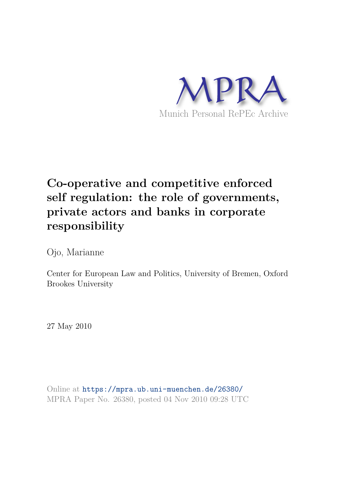

# **Co-operative and competitive enforced self regulation: the role of governments, private actors and banks in corporate responsibility**

Ojo, Marianne

Center for European Law and Politics, University of Bremen, Oxford Brookes University

27 May 2010

Online at https://mpra.ub.uni-muenchen.de/26380/ MPRA Paper No. 26380, posted 04 Nov 2010 09:28 UTC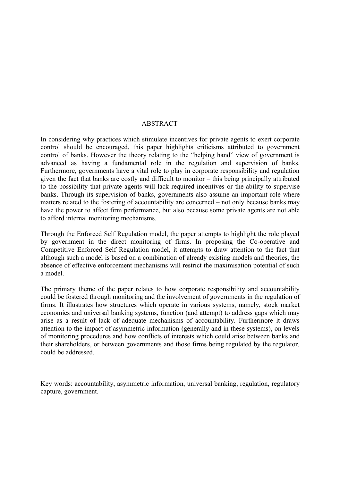#### ABSTRACT

In considering why practices which stimulate incentives for private agents to exert corporate control should be encouraged, this paper highlights criticisms attributed to government control of banks. However the theory relating to the "helping hand" view of government is advanced as having a fundamental role in the regulation and supervision of banks. Furthermore, governments have a vital role to play in corporate responsibility and regulation given the fact that banks are costly and difficult to monitor – this being principally attributed to the possibility that private agents will lack required incentives or the ability to supervise banks. Through its supervision of banks, governments also assume an important role where matters related to the fostering of accountability are concerned – not only because banks may have the power to affect firm performance, but also because some private agents are not able to afford internal monitoring mechanisms.

Through the Enforced Self Regulation model, the paper attempts to highlight the role played by government in the direct monitoring of firms. In proposing the Co-operative and Competitive Enforced Self Regulation model, it attempts to draw attention to the fact that although such a model is based on a combination of already existing models and theories, the absence of effective enforcement mechanisms will restrict the maximisation potential of such a model.

The primary theme of the paper relates to how corporate responsibility and accountability could be fostered through monitoring and the involvement of governments in the regulation of firms. It illustrates how structures which operate in various systems, namely, stock market economies and universal banking systems, function (and attempt) to address gaps which may arise as a result of lack of adequate mechanisms of accountability. Furthermore it draws attention to the impact of asymmetric information (generally and in these systems), on levels of monitoring procedures and how conflicts of interests which could arise between banks and their shareholders, or between governments and those firms being regulated by the regulator, could be addressed.

Key words: accountability, asymmetric information, universal banking, regulation, regulatory capture, government.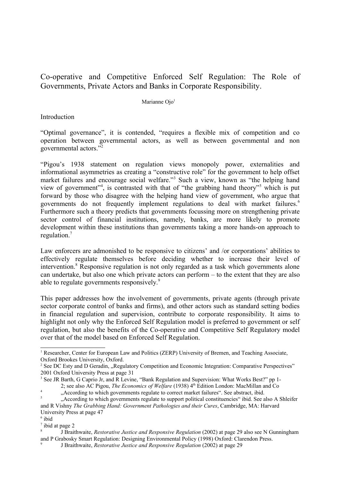Co-operative and Competitive Enforced Self Regulation: The Role of Governments, Private Actors and Banks in Corporate Responsibility.

#### Marianne Ojo<sup>1</sup>

Introduction

"Optimal governance", it is contended, "requires a flexible mix of competition and co operation between governmental actors, as well as between governmental and non governmental actors."<sup>2</sup>

"Pigou's 1938 statement on regulation views monopoly power, externalities and informational asymmetries as creating a "constructive role" for the government to help offset market failures and encourage social welfare."<sup>3</sup> Such a view, known as "the helping hand view of government"<sup>4</sup>, is contrasted with that of "the grabbing hand theory"<sup>5</sup> which is put forward by those who disagree with the helping hand view of government, who argue that governments do not frequently implement regulations to deal with market failures.<sup>6</sup> Furthermore such a theory predicts that governments focussing more on strengthening private sector control of financial institutions, namely, banks, are more likely to promote development within these institutions than governments taking a more hands-on approach to regulation.<sup>7</sup>

Law enforcers are admonished to be responsive to citizens' and /or corporations' abilities to effectively regulate themselves before deciding whether to increase their level of intervention.<sup>8</sup> Responsive regulation is not only regarded as a task which governments alone can undertake, but also one which private actors can perform – to the extent that they are also able to regulate governments responsively.<sup>9</sup>

This paper addresses how the involvement of governments, private agents (through private sector corporate control of banks and firms), and other actors such as standard setting bodies in financial regulation and supervision, contribute to corporate responsibility. It aims to highlight not only why the Enforced Self Regulation model is preferred to government or self regulation, but also the benefits of the Co-operative and Competitive Self Regulatory model over that of the model based on Enforced Self Regulation.

<sup>&</sup>lt;sup>1</sup> Researcher, Center for European Law and Politics (ZERP) University of Bremen, and Teaching Associate, Oxford Brookes University, Oxford.

<sup>&</sup>lt;sup>2</sup> See DC Esty and D Geradin, "Regulatory Competition and Economic Integration: Comparative Perspectives" 2001 Oxford University Press at page 31

<sup>&</sup>lt;sup>3</sup> See JR Barth, G Caprio Jr, and R Levine, "Bank Regulation and Supervision: What Works Best?" pp 1-

<sup>2;</sup> see also AC Pigou, *The Economics of Welfare* (1938) 4<sup>th</sup> Edition London: MacMillan and Co 4

 <sup>&</sup>quot;According to which governments regulate to correct market failures". See abstract, ibid.

<sup>5</sup> "According to which governments regulate to support political constituencies" ibid. See also A Shleifer and R Vishny *The Grabbing Hand: Government Pathologies and their Cures*, Cambridge, MA: Harvard University Press at page 47

<sup>6</sup> ibid

<sup>7</sup> ibid at page 2

<sup>8</sup> J Braithwaite, *Restorative Justice and Responsive Regulation* (2002) at page 29 also see N Gunningham and P Grabosky Smart Regulation: Designing Environmental Policy (1998) Oxford: Clarendon Press. 9

J Braithwaite, *Restorative Justice and Responsive Regulation* (2002) at page 29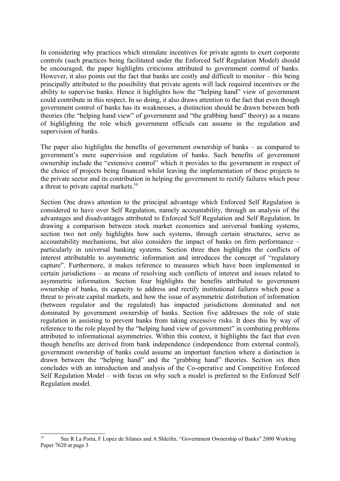In considering why practices which stimulate incentives for private agents to exert corporate controls (such practices being facilitated under the Enforced Self Regulation Model) should be encouraged, the paper highlights criticisms attributed to government control of banks. However, it also points out the fact that banks are costly and difficult to monitor – this being principally attributed to the possibility that private agents will lack required incentives or the ability to supervise banks. Hence it highlights how the "helping hand" view of government could contribute in this respect. In so doing, it also draws attention to the fact that even though government control of banks has its weaknesses, a distinction should be drawn between both theories (the "helping hand view" of government and "the grabbing hand" theory) as a means of highlighting the role which government officials can assume in the regulation and supervision of banks.

The paper also highlights the benefits of government ownership of banks – as compared to government's mere supervision and regulation of banks. Such benefits of government ownership include the "extensive control" which it provides to the government in respect of the choice of projects being financed whilst leaving the implementation of these projects to the private sector and its contribution in helping the government to rectify failures which pose a threat to private capital markets.<sup>10</sup>

Section One draws attention to the principal advantage which Enforced Self Regulation is considered to have over Self Regulation, namely accountability, through an analysis of the advantages and disadvantages attributed to Enforced Self Regulation and Self Regulation. In drawing a comparison between stock market economies and universal banking systems, section two not only highlights how such systems, through certain structures, serve as accountability mechanisms, but also considers the impact of banks on firm performance – particularly in universal banking systems. Section three then highlights the conflicts of interest attributable to asymmetric information and introduces the concept of "regulatory capture". Furthermore, it makes reference to measures which have been implemented in certain jurisdictions – as means of resolving such conflicts of interest and issues related to asymmetric information. Section four highlights the benefits attributed to government ownership of banks, its capacity to address and rectify institutional failures which pose a threat to private capital markets, and how the issue of asymmetric distribution of information (between regulator and the regulated) has impacted jurisdictions dominated and not dominated by government ownership of banks. Section five addresses the role of state regulation in assisting to prevent banks from taking excessive risks. It does this by way of reference to the role played by the "helping hand view of government" in combating problems attributed to informational asymmetries. Within this context, it highlights the fact that even though benefits are derived from bank independence (independence from external control), government ownership of banks could assume an important function where a distinction is drawn between the "helping hand" and the "grabbing hand" theories. Section six then concludes with an introduction and analysis of the Co-operative and Competitive Enforced Self Regulation Model – with focus on why such a model is preferred to the Enforced Self Regulation model.

<sup>&</sup>lt;sup>10</sup> See R La Porta, F Lopez de Silanes and A Shleifer, "Government Ownership of Banks" 2000 Working Paper 7620 at page 3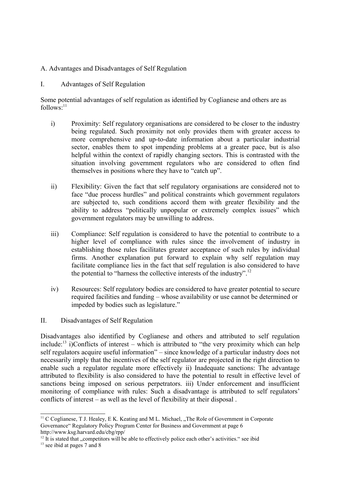# A. Advantages and Disadvantages of Self Regulation

#### I. Advantages of Self Regulation

Some potential advantages of self regulation as identified by Coglianese and others are as  $follows<sup>.11</sup>$ 

- i) Proximity: Self regulatory organisations are considered to be closer to the industry being regulated. Such proximity not only provides them with greater access to more comprehensive and up-to-date information about a particular industrial sector, enables them to spot impending problems at a greater pace, but is also helpful within the context of rapidly changing sectors. This is contrasted with the situation involving government regulators who are considered to often find themselves in positions where they have to "catch up".
- ii) Flexibility: Given the fact that self regulatory organisations are considered not to face "due process hurdles" and political constraints which government regulators are subjected to, such conditions accord them with greater flexibility and the ability to address "politically unpopular or extremely complex issues" which government regulators may be unwilling to address.
- iii) Compliance: Self regulation is considered to have the potential to contribute to a higher level of compliance with rules since the involvement of industry in establishing those rules facilitates greater acceptance of such rules by individual firms. Another explanation put forward to explain why self regulation may facilitate compliance lies in the fact that self regulation is also considered to have the potential to "harness the collective interests of the industry".<sup>12</sup>
- iv) Resources: Self regulatory bodies are considered to have greater potential to secure required facilities and funding – whose availability or use cannot be determined or impeded by bodies such as legislature."
- II. Disadvantages of Self Regulation

Disadvantages also identified by Coglianese and others and attributed to self regulation include:<sup>13</sup> i)Conflicts of interest – which is attributed to "the very proximity which can help self regulators acquire useful information" – since knowledge of a particular industry does not necessarily imply that the incentives of the self regulator are projected in the right direction to enable such a regulator regulate more effectively ii) Inadequate sanctions: The advantage attributed to flexibility is also considered to have the potential to result in effective level of sanctions being imposed on serious perpetrators. iii) Under enforcement and insufficient monitoring of compliance with rules: Such a disadvantage is attributed to self regulators' conflicts of interest – as well as the level of flexibility at their disposal .

<sup>&</sup>lt;sup>11</sup> C Coglianese, T J. Healey, E K. Keating and M L. Michael, "The Role of Government in Corporate Governance" Regulatory Policy Program Center for Business and Government at page 6 http://www.ksg.harvard.edu/cbg/rpp/

 $12$  It is stated that "competitors will be able to effectively police each other's activities." see ibid  $13$  see ibid at pages 7 and 8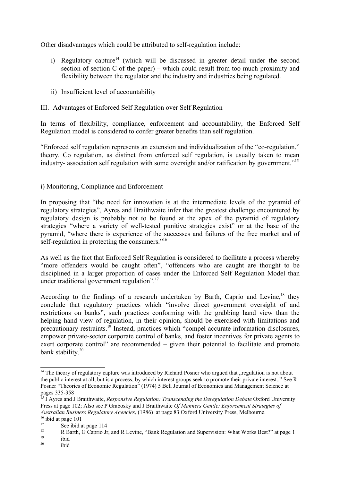Other disadvantages which could be attributed to self-regulation include:

- i) Regulatory capture<sup>14</sup> (which will be discussed in greater detail under the second section of section C of the paper) – which could result from too much proximity and flexibility between the regulator and the industry and industries being regulated.
- ii) Insufficient level of accountability

# III. Advantages of Enforced Self Regulation over Self Regulation

In terms of flexibility, compliance, enforcement and accountability, the Enforced Self Regulation model is considered to confer greater benefits than self regulation.

"Enforced self regulation represents an extension and individualization of the "co-regulation." theory. Co regulation, as distinct from enforced self regulation, is usually taken to mean industry- association self regulation with some oversight and/or ratification by government."<sup>15</sup>

# i) Monitoring, Compliance and Enforcement

In proposing that "the need for innovation is at the intermediate levels of the pyramid of regulatory strategies", Ayres and Braithwaite infer that the greatest challenge encountered by regulatory design is probably not to be found at the apex of the pyramid of regulatory strategies "where a variety of well-tested punitive strategies exist" or at the base of the pyramid, "where there is experience of the successes and failures of the free market and of self-regulation in protecting the consumers."<sup>16</sup>

As well as the fact that Enforced Self Regulation is considered to facilitate a process whereby "more offenders would be caught often", "offenders who are caught are thought to be disciplined in a larger proportion of cases under the Enforced Self Regulation Model than under traditional government regulation".<sup>17</sup>

According to the findings of a research undertaken by Barth, Caprio and Levine,<sup>18</sup> they conclude that regulatory practices which "involve direct government oversight of and restrictions on banks", such practices conforming with the grabbing hand view than the helping hand view of regulation, in their opinion, should be exercised with limitations and precautionary restraints.<sup>19</sup> Instead, practices which "compel accurate information disclosures, empower private-sector corporate control of banks, and foster incentives for private agents to exert corporate control" are recommended – given their potential to facilitate and promote bank stability.<sup>20</sup>

<sup>&</sup>lt;sup>14</sup> The theory of regulatory capture was introduced by Richard Posner who argued that "regulation is not about the public interest at all, but is a process, by which interest groups seek to promote their private interest.." See R Posner "Theories of Economic Regulation" (1974) 5 Bell Journal of Economics and Management Science at pages 335-358

<sup>&</sup>lt;sup>15</sup> I Ayres and J Braithwaite, *Responsive Regulation: Transcending the Deregulation Debate* Oxford University Press at page 102; Also see P Grabosky and J Braithwaite *Of Manners Gentle: Enforcement Strategies of Australian Business Regulatory Agencies*, (1986) at page 83 Oxford University Press, Melbourne.

 $^{16}$  ibid at page 101  $\frac{17}{18}$  See ibid at page 114

<sup>&</sup>lt;sup>18</sup> R Barth, G Caprio Jr, and R Levine, "Bank Regulation and Supervision: What Works Best?" at page 1<sup>19</sup>

 $\frac{19}{20}$  ibid

ibid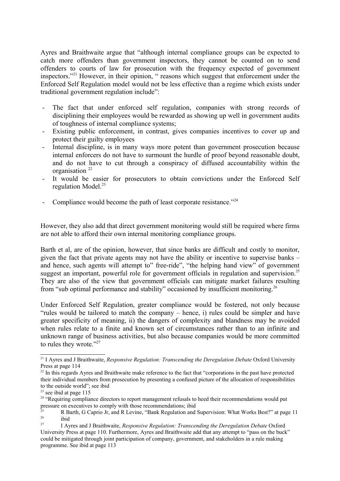Ayres and Braithwaite argue that "although internal compliance groups can be expected to catch more offenders than government inspectors, they cannot be counted on to send offenders to courts of law for prosecution with the frequency expected of government inspectors."<sup>21</sup> However, in their opinion, " reasons which suggest that enforcement under the Enforced Self Regulation model would not be less effective than a regime which exists under traditional government regulation include":

- The fact that under enforced self regulation, companies with strong records of disciplining their employees would be rewarded as showing up well in government audits of toughness of internal compliance systems;
- Existing public enforcement, in contrast, gives companies incentives to cover up and protect their guilty employees
- Internal discipline, is in many ways more potent than government prosecution because internal enforcers do not have to surmount the hurdle of proof beyond reasonable doubt, and do not have to cut through a conspiracy of diffused accountability within the organisation <sup>22</sup>
- It would be easier for prosecutors to obtain convictions under the Enforced Self regulation Model.<sup>23</sup>
- Compliance would become the path of least corporate resistance."<sup>24</sup>

However, they also add that direct government monitoring would still be required where firms are not able to afford their own internal monitoring compliance groups.

Barth et al, are of the opinion, however, that since banks are difficult and costly to monitor, given the fact that private agents may not have the ability or incentive to supervise banks – and hence, such agents will attempt to" free-ride", "the helping hand view" of government suggest an important, powerful role for government officials in regulation and supervision.<sup>25</sup> They are also of the view that government officials can mitigate market failures resulting from "sub optimal performance and stability" occasioned by insufficient monitoring.<sup>26</sup>

Under Enforced Self Regulation, greater compliance would be fostered, not only because "rules would be tailored to match the company – hence, i) rules could be simpler and have greater specificity of meaning, ii) the dangers of complexity and blandness may be avoided when rules relate to a finite and known set of circumstances rather than to an infinite and unknown range of business activities, but also because companies would be more committed to rules they wrote."<sup>27</sup>

<sup>&</sup>lt;sup>21</sup> I Ayres and J Braithwaite, *Responsive Regulation: Transcending the Deregulation Debate* Oxford University Press at page 114

<sup>&</sup>lt;sup>22</sup> In this regards Ayres and Braithwaite make reference to the fact that "corporations in the past have protected their individual members from prosecution by presenting a confused picture of the allocation of responsibilities to the outside world"; see ibid

 $23$  see ibid at page 115

<sup>&</sup>lt;sup>24</sup> "Requiring compliance directors to report management refusals to heed their recommendations would put pressure on executives to comply with those recommendations; ibid

<sup>&</sup>lt;sup>25</sup><br>R Barth, G Caprio Jr, and R Levine, "Bank Regulation and Supervision: What Works Best?" at page 11<br><sup>26</sup>  $\frac{26}{27}$  ibid

<sup>27</sup> I Ayres and J Braithwaite, *Responsive Regulation: Transcending the Deregulation Debate* Oxford University Press at page 110. Furthermore, Ayres and Braithwaite add that any attempt to "pass on the buck" could be mitigated through joint participation of company, government, and stakeholders in a rule making programme. See ibid at page 113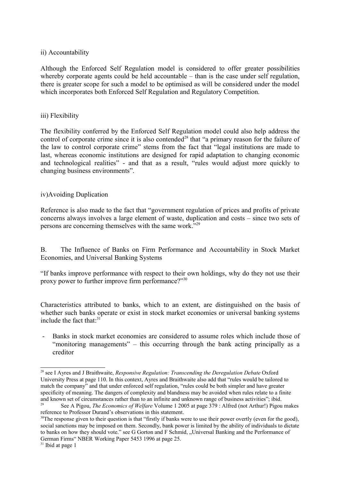#### ii) Accountability

Although the Enforced Self Regulation model is considered to offer greater possibilities whereby corporate agents could be held accountable – than is the case under self regulation, there is greater scope for such a model to be optimised as will be considered under the model which incorporates both Enforced Self Regulation and Regulatory Competition.

#### iii) Flexibility

The flexibility conferred by the Enforced Self Regulation model could also help address the control of corporate crime since it is also contended<sup>28</sup> that "a primary reason for the failure of the law to control corporate crime" stems from the fact that "legal institutions are made to last, whereas economic institutions are designed for rapid adaptation to changing economic and technological realities" - and that as a result, "rules would adjust more quickly to changing business environments".

#### iv)Avoiding Duplication

Reference is also made to the fact that "government regulation of prices and profits of private concerns always involves a large element of waste, duplication and costs – since two sets of persons are concerning themselves with the same work."<sup>29</sup>

B. The Influence of Banks on Firm Performance and Accountability in Stock Market Economies, and Universal Banking Systems

"If banks improve performance with respect to their own holdings, why do they not use their proxy power to further improve firm performance?"<sup>30</sup>

Characteristics attributed to banks, which to an extent, are distinguished on the basis of whether such banks operate or exist in stock market economies or universal banking systems include the fact that  $31$ 

Banks in stock market economies are considered to assume roles which include those of "monitoring managements" – this occurring through the bank acting principally as a creditor

<sup>&</sup>lt;sup>28</sup> see I Ayres and J Braithwaite, *Responsive Regulation: Transcending the Deregulation Debate* Oxford University Press at page 110. In this context, Ayres and Braithwaite also add that "rules would be tailored to match the company" and that under enforced self regulation, "rules could be both simpler and have greater specificity of meaning. The dangers of complexity and blandness may be avoided when rules relate to a finite and known set of circumstances rather than to an infinite and unknown range of business activities"; ibid.

<sup>29</sup> See A Pigou, *The Economics of Welfare* Volume 1 2005 at page 379 : Alfred (not Arthur!) Pigou makes reference to Professor Durand's observations in this statement.

 $30$ The response given to their question is that "firstly if banks were to use their power overtly (even for the good), social sanctions may be imposed on them. Secondly, bank power is limited by the ability of individuals to dictate to banks on how they should vote." see G Gorton and F Schmid, "Universal Banking and the Performance of German Firms" NBER Working Paper 5453 1996 at page 25.

<sup>&</sup>lt;sup>31</sup> Ibid at page 1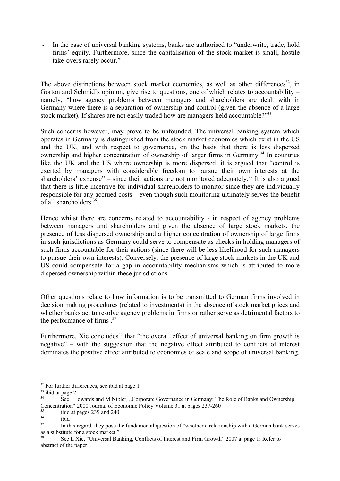- In the case of universal banking systems, banks are authorised to "underwrite, trade, hold firms' equity. Furthermore, since the capitalisation of the stock market is small, hostile take-overs rarely occur."

The above distinctions between stock market economies, as well as other differences<sup>32</sup>, in Gorton and Schmid's opinion, give rise to questions, one of which relates to accountability – namely, "how agency problems between managers and shareholders are dealt with in Germany where there is a separation of ownership and control (given the absence of a large stock market). If shares are not easily traded how are managers held accountable?"<sup>33</sup>

Such concerns however, may prove to be unfounded. The universal banking system which operates in Germany is distinguished from the stock market economies which exist in the US and the UK, and with respect to governance, on the basis that there is less dispersed ownership and higher concentration of ownership of larger firms in Germany. <sup>34</sup> In countries like the UK and the US where ownership is more dispersed, it is argued that "control is exerted by managers with considerable freedom to pursue their own interests at the shareholders' expense" – since their actions are not monitored adequately.<sup>35</sup> It is also argued that there is little incentive for individual shareholders to monitor since they are individually responsible for any accrued costs – even though such monitoring ultimately serves the benefit of all shareholders  $36$ 

Hence whilst there are concerns related to accountability - in respect of agency problems between managers and shareholders and given the absence of large stock markets, the presence of less dispersed ownership and a higher concentration of ownership of large firms in such jurisdictions as Germany could serve to compensate as checks in holding managers of such firms accountable for their actions (since there will be less likelihood for such managers to pursue their own interests). Conversely, the presence of large stock markets in the UK and US could compensate for a gap in accountability mechanisms which is attributed to more dispersed ownership within these jurisdictions.

Other questions relate to how information is to be transmitted to German firms involved in decision making procedures (related to investments) in the absence of stock market prices and whether banks act to resolve agency problems in firms or rather serve as detrimental factors to the performance of firms  $.37$ 

Furthermore, Xie concludes<sup>38</sup> that "the overall effect of universal banking on firm growth is negative" – with the suggestion that the negative effect attributed to conflicts of interest dominates the positive effect attributed to economies of scale and scope of universal banking.

<sup>&</sup>lt;sup>32</sup> For further differences, see ibid at page 1

 $\frac{33}{34}$  ibid at page 2

See J Edwards and M Nibler, ..Corporate Governance in Germany: The Role of Banks and Ownership Concentration" 2000 Journal of Economic Policy Volume 31 at pages 237-260

 $\frac{35}{36}$  ibid at pages 239 and 240

 $\frac{36}{37}$  ibid

In this regard, they pose the fundamental question of "whether a relationship with a German bank serves as a substitute for a stock market."

<sup>38</sup> See L Xie, "Universal Banking, Conflicts of Interest and Firm Growth" 2007 at page 1: Refer to abstract of the paper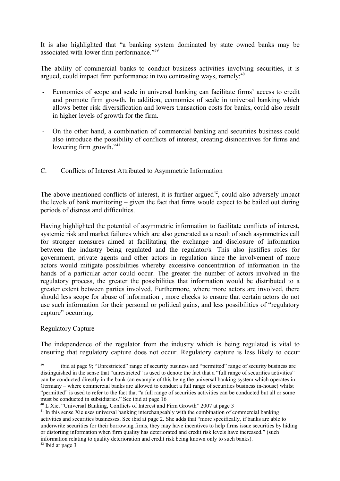It is also highlighted that "a banking system dominated by state owned banks may be associated with lower firm performance."<sup>39</sup>

The ability of commercial banks to conduct business activities involving securities, it is argued, could impact firm performance in two contrasting ways, namely:<sup>40</sup>

- Economies of scope and scale in universal banking can facilitate firms' access to credit and promote firm growth. In addition, economies of scale in universal banking which allows better risk diversification and lowers transaction costs for banks, could also result in higher levels of growth for the firm.
- On the other hand, a combination of commercial banking and securities business could also introduce the possibility of conflicts of interest, creating disincentives for firms and lowering firm growth."<sup>41</sup>
- C. Conflicts of Interest Attributed to Asymmetric Information

The above mentioned conflicts of interest, it is further argued<sup>42</sup>, could also adversely impact the levels of bank monitoring – given the fact that firms would expect to be bailed out during periods of distress and difficulties.

Having highlighted the potential of asymmetric information to facilitate conflicts of interest, systemic risk and market failures which are also generated as a result of such asymmetries call for stronger measures aimed at facilitating the exchange and disclosure of information between the industry being regulated and the regulator/s. This also justifies roles for government, private agents and other actors in regulation since the involvement of more actors would mitigate possibilities whereby excessive concentration of information in the hands of a particular actor could occur. The greater the number of actors involved in the regulatory process, the greater the possibilities that information would be distributed to a greater extent between parties involved. Furthermore, where more actors are involved, there should less scope for abuse of information , more checks to ensure that certain actors do not use such information for their personal or political gains, and less possibilities of "regulatory capture" occurring.

# Regulatory Capture

The independence of the regulator from the industry which is being regulated is vital to ensuring that regulatory capture does not occur. Regulatory capture is less likely to occur

<sup>&</sup>lt;sup>39</sup> ibid at page 9; "Unrestricted" range of security business and "permitted" range of security business are distinguished in the sense that "unrestricted" is used to denote the fact that a "full range of securities activities" can be conducted directly in the bank (an example of this being the universal banking system which operates in Germany – where commercial banks are allowed to conduct a full range of securities business in-house) whilst "permitted" is used to refer to the fact that "a full range of securities activities can be conducted but all or some must be conducted in subsidiaries." See ibid at page 16

<sup>40</sup> L Xie, "Universal Banking, Conflicts of Interest and Firm Growth" 2007 at page 3

<sup>&</sup>lt;sup>41</sup> In this sense Xie uses universal banking interchangeably with the combination of commercial banking activities and securities businesses. See ibid at page 2. She adds that "more specifically, if banks are able to underwrite securities for their borrowing firms, they may have incentives to help firms issue securities by hiding or distorting information when firm quality has deteriorated and credit risk levels have increased." (such information relating to quality deterioration and credit risk being known only to such banks).

<sup>42</sup> Ibid at page 3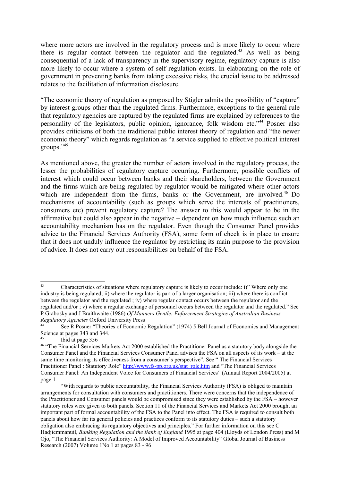where more actors are involved in the regulatory process and is more likely to occur where there is regular contact between the regulator and the regulated.<sup>43</sup> As well as being consequential of a lack of transparency in the supervisory regime, regulatory capture is also more likely to occur where a system of self regulation exists. In elaborating on the role of government in preventing banks from taking excessive risks, the crucial issue to be addressed relates to the facilitation of information disclosure.

"The economic theory of regulation as proposed by Stigler admits the possibility of "capture" by interest groups other than the regulated firms. Furthermore, exceptions to the general rule that regulatory agencies are captured by the regulated firms are explained by references to the personality of the legislators, public opinion, ignorance, folk wisdom etc."<sup>44</sup> Posner also provides criticisms of both the traditional public interest theory of regulation and "the newer economic theory" which regards regulation as "a service supplied to effective political interest groups."<sup>45</sup>

As mentioned above, the greater the number of actors involved in the regulatory process, the lesser the probabilities of regulatory capture occurring. Furthermore, possible conflicts of interest which could occur between banks and their shareholders, between the Government and the firms which are being regulated by regulator would be mitigated where other actors which are independent from the firms, banks or the Government, are involved.<sup>46</sup> Do mechanisms of accountability (such as groups which serve the interests of practitioners, consumers etc) prevent regulatory capture? The answer to this would appear to be in the affirmative but could also appear in the negative – dependent on how much influence such an accountability mechanism has on the regulator. Even though the Consumer Panel provides advice to the Financial Services Authority (FSA), some form of check is in place to ensure that it does not unduly influence the regulator by restricting its main purpose to the provision of advice. It does not carry out responsibilities on behalf of the FSA.

<sup>43</sup> Characteristics of situations where regulatory capture is likely to occur include: i)" Where only one industry is being regulated; ii) where the regulator is part of a larger organisation; iii) where there is conflict between the regulator and the regulated ; iv) where regular contact occurs between the regulator and the regulated and/or ; v) where a regular exchange of personnel occurs between the regulator and the regulated." See P Grabosky and J Braithwaite (1986) *Of Manners Gentle: Enforcement Strategies of Australian Business Regulatory Agencies* Oxford University Press

See R Posner "Theories of Economic Regulation" (1974) 5 Bell Journal of Economics and Management Science at pages 343 and 344.

Ibid at page 356

<sup>&</sup>lt;sup>46</sup> "The Financial Services Markets Act 2000 established the Practitioner Panel as a statutory body alongside the Consumer Panel and the Financial Services Consumer Panel advises the FSA on all aspects of its work – at the same time monitoring its effectiveness from a consumer's perspective". See "The Financial Services Practitioner Panel : Statutory Role" http://www.fs-pp.org.uk/stat\_role.htm and "The Financial Services" Consumer Panel: An Independent Voice for Consumers of Financial Services" (Annual Report 2004/2005) at page 1

<sup>&</sup>quot;With regards to public accountability, the Financial Services Authority (FSA) is obliged to maintain arrangements for consultation with consumers and practitioners. There were concerns that the independence of the Practitioner and Consumer panels would be compromised since they were established by the FSA – however statutory roles were given to both panels. Section 11 of the Financial Services and Markets Act 2000 brought an important part of formal accountability of the FSA to the Panel into effect. The FSA is required to consult both panels about how far its general policies and practices conform to its statutory duties – such a statutory obligation also embracing its regulatory objectives and principles." For further information on this see C Hadjiemmanuil, *Banking Regulation and the Bank of England* 1995 at page 404 (Lloyds of London Press) and M Ojo, "The Financial Services Authority: A Model of Improved Accountability" Global Journal of Business Research (2007) Volume 1No 1 at pages 83 - 96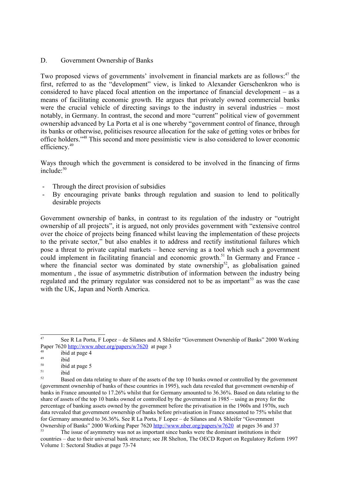#### D. Government Ownership of Banks

Two proposed views of governments' involvement in financial markets are as follows:<sup>47</sup> the first, referred to as the "development" view, is linked to Alexander Gerschenkron who is considered to have placed focal attention on the importance of financial development – as a means of facilitating economic growth. He argues that privately owned commercial banks were the crucial vehicle of directing savings to the industry in several industries – most notably, in Germany. In contrast, the second and more "current" political view of government ownership advanced by La Porta et al is one whereby "government control of finance, through its banks or otherwise, politicises resource allocation for the sake of getting votes or bribes for office holders."<sup>48</sup> This second and more pessimistic view is also considered to lower economic efficiency.<sup>49</sup>

Ways through which the government is considered to be involved in the financing of firms  $include:50$ 

- Through the direct provision of subsidies
- By encouraging private banks through regulation and suasion to lend to politically desirable projects

Government ownership of banks, in contrast to its regulation of the industry or "outright ownership of all projects", it is argued, not only provides government with "extensive control over the choice of projects being financed whilst leaving the implementation of these projects to the private sector," but also enables it to address and rectify institutional failures which pose a threat to private capital markets – hence serving as a tool which such a government could implement in facilitating financial and economic growth.<sup>51</sup> In Germany and France where the financial sector was dominated by state ownership<sup>52</sup>, as globalisation gained momentum , the issue of asymmetric distribution of information between the industry being regulated and the primary regulator was considered not to be as important<sup>53</sup> as was the case with the UK, Japan and North America.

<sup>47</sup> See R La Porta, F Lopez – de Silanes and A Shleifer "Government Ownership of Banks" 2000 Working Paper 7620 http://www.nber.org/papers/w7620 at page 3

 $\frac{48}{49}$  ibid at page 4

 $^{49}$  ibid<br> $^{50}$   $^{11.1}$ 

 $\frac{50}{51}$  ibid at page 5

 $\frac{51}{52}$  ibid

<sup>52</sup> Based on data relating to share of the assets of the top 10 banks owned or controlled by the government (government ownership of banks of these countries in 1995), such data revealed that government ownership of banks in France amounted to 17.26% whilst that for Germany amounted to 36.36%. Based on data relating to the share of assets of the top 10 banks owned or controlled by the government in 1985 – using as proxy for the percentage of banking assets owned by the government before the privatisation in the 1960s and 1970s, such data revealed that government ownership of banks before privatisation in France amounted to 75% whilst that for Germany amounted to 36.36%. See R La Porta, F Lopez – de Silanes and A Shleifer "Government Ownership of Banks" 2000 Working Paper 7620  $\frac{\text{http://www.nber.org/papers/w7620}}{\text{http://www.nber.org/papers/w7620}}$  at pages 36 and 37

The issue of asymmetry was not as important since banks were the dominant institutions in their countries – due to their universal bank structure; see JR Shelton, The OECD Report on Regulatory Reform 1997 Volume 1: Sectoral Studies at page 73-74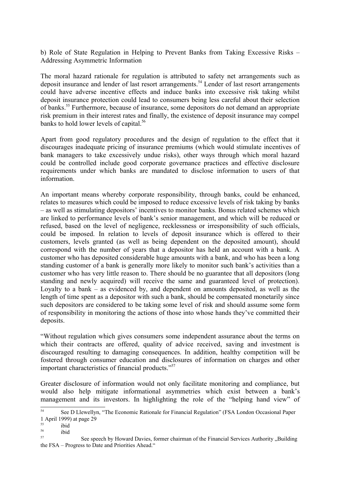b) Role of State Regulation in Helping to Prevent Banks from Taking Excessive Risks – Addressing Asymmetric Information

The moral hazard rationale for regulation is attributed to safety net arrangements such as deposit insurance and lender of last resort arrangements.<sup>54</sup> Lender of last resort arrangements could have adverse incentive effects and induce banks into excessive risk taking whilst deposit insurance protection could lead to consumers being less careful about their selection of banks.<sup>55</sup> Furthermore, because of insurance, some depositors do not demand an appropriate risk premium in their interest rates and finally, the existence of deposit insurance may compel banks to hold lower levels of capital.<sup>56</sup>

Apart from good regulatory procedures and the design of regulation to the effect that it discourages inadequate pricing of insurance premiums (which would stimulate incentives of bank managers to take excessively undue risks), other ways through which moral hazard could be controlled include good corporate governance practices and effective disclosure requirements under which banks are mandated to disclose information to users of that information.

An important means whereby corporate responsibility, through banks, could be enhanced, relates to measures which could be imposed to reduce excessive levels of risk taking by banks – as well as stimulating depositors' incentives to monitor banks. Bonus related schemes which are linked to performance levels of bank's senior management, and which will be reduced or refused, based on the level of negligence, recklessness or irresponsibility of such officials, could be imposed. In relation to levels of deposit insurance which is offered to their customers, levels granted (as well as being dependent on the deposited amount), should correspond with the number of years that a depositor has held an account with a bank. A customer who has deposited considerable huge amounts with a bank, and who has been a long standing customer of a bank is generally more likely to monitor such bank's activities than a customer who has very little reason to. There should be no guarantee that all depositors (long standing and newly acquired) will receive the same and guaranteed level of protection). Loyalty to a bank – as evidenced by, and dependent on amounts deposited, as well as the length of time spent as a depositor with such a bank, should be compensated monetarily since such depositors are considered to be taking some level of risk and should assume some form of responsibility in monitoring the actions of those into whose hands they've committed their deposits.

"Without regulation which gives consumers some independent assurance about the terms on which their contracts are offered, quality of advice received, saving and investment is discouraged resulting to damaging consequences. In addition, healthy competition will be fostered through consumer education and disclosures of information on charges and other important characteristics of financial products."<sup>57</sup>

Greater disclosure of information would not only facilitate monitoring and compliance, but would also help mitigate informational asymmetries which exist between a bank's management and its investors. In highlighting the role of the "helping hand view" of

<sup>54</sup> See D Llewellyn, "The Economic Rationale for Financial Regulation" (FSA London Occasional Paper 1 April 1999) at page 29

 $\frac{55}{56}$  ibid

 $\frac{56}{57}$  ibid

See speech by Howard Davies, former chairman of the Financial Services Authority "Building the FSA – Progress to Date and Priorities Ahead."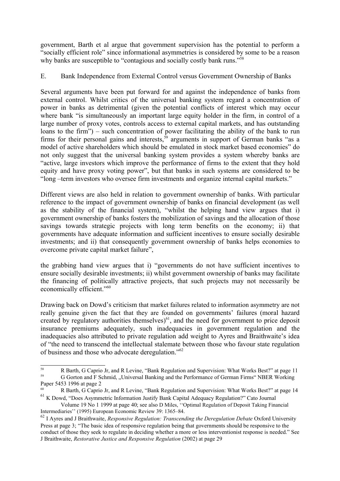government, Barth et al argue that government supervision has the potential to perform a "socially efficient role" since informational asymmetries is considered by some to be a reason why banks are susceptible to "contagious and socially costly bank runs."<sup>58</sup>

# E. Bank Independence from External Control versus Government Ownership of Banks

Several arguments have been put forward for and against the independence of banks from external control. Whilst critics of the universal banking system regard a concentration of power in banks as detrimental (given the potential conflicts of interest which may occur where bank "is simultaneously an important large equity holder in the firm, in control of a large number of proxy votes, controls access to external capital markets, and has outstanding loans to the firm") – such concentration of power facilitating the ability of the bank to run firms for their personal gains and interests,  $\hat{S}^9$  arguments in support of German banks "as a model of active shareholders which should be emulated in stock market based economies" do not only suggest that the universal banking system provides a system whereby banks are "active, large investors which improve the performance of firms to the extent that they hold equity and have proxy voting power", but that banks in such systems are considered to be "long –term investors who oversee firm investments and organize internal capital markets."

Different views are also held in relation to government ownership of banks. With particular reference to the impact of government ownership of banks on financial development (as well as the stability of the financial system), "whilst the helping hand view argues that i) government ownership of banks fosters the mobilization of savings and the allocation of those savings towards strategic projects with long term benefits on the economy; ii) that governments have adequate information and sufficient incentives to ensure socially desirable investments; and ii) that consequently government ownership of banks helps economies to overcome private capital market failure",

the grabbing hand view argues that i) "governments do not have sufficient incentives to ensure socially desirable investments; ii) whilst government ownership of banks may facilitate the financing of politically attractive projects, that such projects may not necessarily be economically efficient."<sup>60</sup>

Drawing back on Dowd's criticism that market failures related to information asymmetry are not really genuine given the fact that they are founded on governments' failures (moral hazard created by regulatory authorities themselves)<sup>61</sup>, and the need for government to price deposit insurance premiums adequately, such inadequacies in government regulation and the inadequacies also attributed to private regulation add weight to Ayres and Braithwaite's idea of "the need to transcend the intellectual stalemate between those who favour state regulation of business and those who advocate deregulation."<sup>62</sup>

<sup>&</sup>lt;sup>58</sup> R Barth, G Caprio Jr, and R Levine, "Bank Regulation and Supervision: What Works Best?" at page 11<br>  $\frac{59}{2}$  G Corton and E Sebmid Haivareal Benking and the Berformance of German Eirms." NBEB Working <sup>59</sup> G Gorton and F Schmid, "Universal Banking and the Performance of German Firms" NBER Working

Paper 5453 1996 at page 2

<sup>60</sup> R Barth, G Caprio Jr, and R Levine, "Bank Regulation and Supervision: What Works Best?" at page 14 <sup>61</sup> K Dowd, "Does Asymmetric Information Justify Bank Capital Adequacy Regulation?" Cato Journal

Volume 19 No 1 1999 at page 40; see also D Miles, ''Optimal Regulation of Deposit Taking Financial Intermediaries'' (1995) European Economic Review 39: 1365–84.

<sup>&</sup>lt;sup>62</sup> I Ayres and J Braithwaite, *Responsive Regulation: Transcending the Deregulation Debate* Oxford University Press at page 3; "The basic idea of responsive regulation being that governments should be responsive to the conduct of those they seek to regulate in deciding whether a more or less interventionist response is needed." See J Braithwaite, *Restorative Justice and Responsive Regulation* (2002) at page 29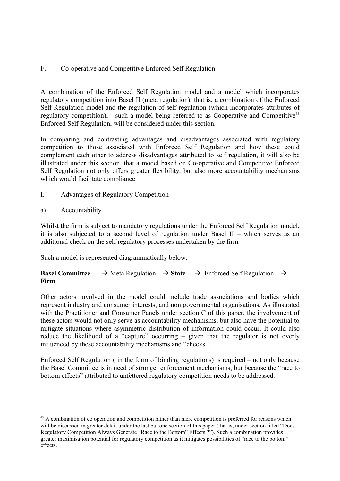# F. Co-operative and Competitive Enforced Self Regulation

A combination of the Enforced Self Regulation model and a model which incorporates regulatory competition into Basel II (meta regulation), that is, a combination of the Enforced Self Regulation model and the regulation of self regulation (which incorporates attributes of regulatory competition), - such a model being referred to as Cooperative and Competitive<sup>63</sup> Enforced Self Regulation, will be considered under this section.

In comparing and contrasting advantages and disadvantages associated with regulatory competition to those associated with Enforced Self Regulation and how these could complement each other to address disadvantages attributed to self regulation, it will also be illustrated under this section, that a model based on Co-operative and Competitive Enforced Self Regulation not only offers greater flexibility, but also more accountability mechanisms which would facilitate compliance.

- I. Advantages of Regulatory Competition
- a) Accountability

Whilst the firm is subject to mandatory regulations under the Enforced Self Regulation model, it is also subjected to a second level of regulation under Basel II – which serves as an additional check on the self regulatory processes undertaken by the firm.

Such a model is represented diagrammatically below:

#### **Basel Committee----- →** Meta Regulation -- → State --- → Enforced Self Regulation -- → **Firm**

Other actors involved in the model could include trade associations and bodies which represent industry and consumer interests, and non governmental organisations. As illustrated with the Practitioner and Consumer Panels under section C of this paper, the involvement of these actors would not only serve as accountability mechanisms, but also have the potential to mitigate situations where asymmetric distribution of information could occur. It could also reduce the likelihood of a "capture" occurring – given that the regulator is not overly influenced by these accountability mechanisms and "checks".

Enforced Self Regulation ( in the form of binding regulations) is required – not only because the Basel Committee is in need of stronger enforcement mechanisms, but because the "race to bottom effects" attributed to unfettered regulatory competition needs to be addressed.

<sup>&</sup>lt;sup>63</sup> A combination of co operation and competition rather than mere competition is preferred for reasons which will be discussed in greater detail under the last but one section of this paper (that is, under section titled "Does Regulatory Competition Always Generate "Race to the Bottom" Effects ?"). Such a combination provides greater maximisation potential for regulatory competition as it mitigates possibilities of "race to the bottom" effects.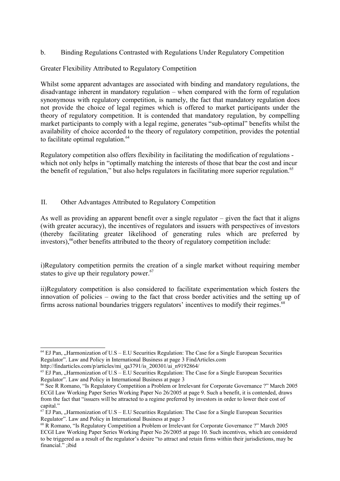b. Binding Regulations Contrasted with Regulations Under Regulatory Competition

Greater Flexibility Attributed to Regulatory Competition

Whilst some apparent advantages are associated with binding and mandatory regulations, the disadvantage inherent in mandatory regulation – when compared with the form of regulation synonymous with regulatory competition, is namely, the fact that mandatory regulation does not provide the choice of legal regimes which is offered to market participants under the theory of regulatory competition. It is contended that mandatory regulation, by compelling market participants to comply with a legal regime, generates "sub-optimal" benefits whilst the availability of choice accorded to the theory of regulatory competition, provides the potential to facilitate optimal regulation.<sup>64</sup>

Regulatory competition also offers flexibility in facilitating the modification of regulations which not only helps in "optimally matching the interests of those that bear the cost and incur the benefit of regulation," but also helps regulators in facilitating more superior regulation.<sup>65</sup>

# II. Other Advantages Attributed to Regulatory Competition

As well as providing an apparent benefit over a single regulator – given the fact that it aligns (with greater accuracy), the incentives of regulators and issuers with perspectives of investors (thereby facilitating greater likelihood of generating rules which are preferred by investors),<sup>66</sup>other benefits attributed to the theory of regulatory competition include:

i)Regulatory competition permits the creation of a single market without requiring member states to give up their regulatory power.<sup>67</sup>

ii)Regulatory competition is also considered to facilitate experimentation which fosters the innovation of policies – owing to the fact that cross border activities and the setting up of firms across national boundaries triggers regulators' incentives to modify their regimes.<sup>68</sup>

 $64$  EJ Pan, ...Harmonization of U.S – E.U Securities Regulation: The Case for a Single European Securities Regulator". Law and Policy in International Business at page 3 FindArticles.com

http://findarticles.com/p/articles/mi\_qa3791/is\_200301/ai\_n9192864/

 $^{65}$  EJ Pan, "Harmonization of U.S – E.U Securities Regulation: The Case for a Single European Securities Regulator". Law and Policy in International Business at page 3

<sup>66</sup> See R Romano, "Is Regulatory Competition a Problem or Irrelevant for Corporate Governance ?" March 2005 ECGI Law Working Paper Series Working Paper No 26/2005 at page 9. Such a benefit, it is contended, draws from the fact that "issuers will be attracted to a regime preferred by investors in order to lower their cost of capital."

 $67$  EJ Pan, "Harmonization of U.S – E.U Securities Regulation: The Case for a Single European Securities Regulator". Law and Policy in International Business at page 3

<sup>&</sup>lt;sup>68</sup> R Romano, "Is Regulatory Competition a Problem or Irrelevant for Corporate Governance ?" March 2005 ECGI Law Working Paper Series Working Paper No 26/2005 at page 10. Such incentives, which are considered to be triggered as a result of the regulator's desire "to attract and retain firms within their jurisdictions, may be financial." ;ibid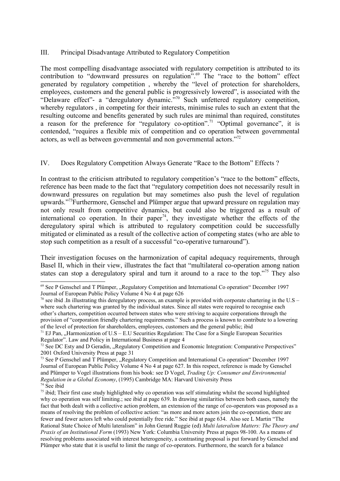# III. Principal Disadvantage Attributed to Regulatory Competition

The most compelling disadvantage associated with regulatory competition is attributed to its contribution to "downward pressures on regulation".<sup>69</sup> The "race to the bottom" effect generated by regulatory competition , whereby the "level of protection for shareholders, employees, customers and the general public is progressively lowered", is associated with the "Delaware effect"- a "deregulatory dynamic."<sup>70</sup> Such unfettered regulatory competition, whereby regulators , in competing for their interests, minimise rules to such an extent that the resulting outcome and benefits generated by such rules are minimal than required, constitutes a reason for the preference for "regulatory co-optition".<sup>71</sup> "Optimal governance", it is contended, "requires a flexible mix of competition and co operation between governmental actors, as well as between governmental and non governmental actors."<sup>72</sup>

#### IV. Does Regulatory Competition Always Generate "Race to the Bottom" Effects ?

In contrast to the criticism attributed to regulatory competition's "race to the bottom" effects, reference has been made to the fact that "regulatory competition does not necessarily result in downward pressures on regulation but may sometimes also push the level of regulation upwards."<sup>73</sup>Furthermore, Genschel and Plümper argue that upward pressure on regulation may not only result from competitive dynamics, but could also be triggered as a result of international co operation. In their paper<sup>74</sup>, they investigate whether the effects of the deregulatory spiral which is attributed to regulatory competition could be successfully mitigated or eliminated as a result of the collective action of competing states (who are able to stop such competition as a result of a successful "co-operative turnaround").

Their investigation focuses on the harmonization of capital adequacy requirements, through Basel II, which in their view, illustrates the fact that "multilateral co-operation among nation states can stop a deregulatory spiral and turn it around to a race to the top."<sup>75</sup> They also

<sup>&</sup>lt;sup>69</sup> See P Genschel and T Plümper, "Regulatory Competition and International Co operation" December 1997 Journal of European Public Policy Volume 4 No 4 at page 626

<sup>&</sup>lt;sup>70</sup> see ibid .In illustrating this deregulatory process, an example is provided with corporate chartering in the U.S – where such chartering was granted by the individual states. Since all states were required to recognise each other's charters, competition occurred between states who were striving to acquire corporations through the provision of "corporation friendly chartering requirements." Such a process is known to contribute to a lowering of the level of protection for shareholders, employees, customers and the general public; ibid

 $71$  EJ Pan, "Harmonization of U.S – E.U Securities Regulation: The Case for a Single European Securities Regulator". Law and Policy in International Business at page 4

 $72$  See DC Esty and D Geradin,  $\mathcal{R}$  Regulatory Competition and Economic Integration: Comparative Perspectives" 2001 Oxford University Press at page 31

<sup>73</sup> See P Genschel and T Plümper, "Regulatory Competition and International Co operation" December 1997 Journal of European Public Policy Volume 4 No 4 at page 627. In this respect, reference is made by Genschel and Plümper to Vogel illustrations from his book: see D Vogel, *Trading Up: Consumer and Environmental Regulation in a Global Economy*, (1995) Cambridge MA: Harvard University Press <sup>74</sup> See ibid

<sup>&</sup>lt;sup>75</sup> ibid; Their first case study highlighted why co operation was self stimulating whilst the second highlighted why co operation was self limiting.; see ibid at page 639. In drawing similarities between both cases, namely the fact that both dealt with a collective action problem, an extension of the range of co-operators was proposed as a means of resolving the problem of collective action: "as more and more actors join the co-operation, there are fewer and fewer actors left who could potentially free ride." See ibid at page 634. Also see L Martin "The Rational State Choice of Multi lateralism" in John Gerard Ruggie (ed) *Multi lateralism Matters: The Theory and Praxis of an Institutional Form* (1993) New York: Columbia University Press at pages 98-100. As a means of resolving problems associated with interest heterogeneity, a contrasting proposal is put forward by Genschel and Plümper who state that it is useful to limit the range of co-operators. Furthermore, the search for a balance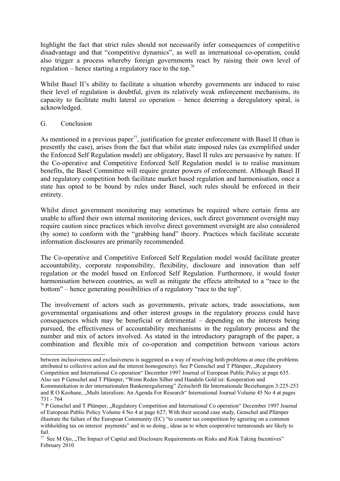highlight the fact that strict rules should not necessarily infer consequences of competitive disadvantage and that "competitive dynamics", as well as international co-operation, could also trigger a process whereby foreign governments react by raising their own level of regulation – hence starting a regulatory race to the top.<sup>76</sup>

Whilst Basel II's ability to facilitate a situation whereby governments are induced to raise their level of regulation is doubtful, given its relatively weak enforcement mechanisms, its capacity to facilitate multi lateral co operation – hence deterring a deregulatory spiral, is acknowledged.

#### G. Conclusion

As mentioned in a previous paper<sup>77</sup>, justification for greater enforcement with Basel II (than is presently the case), arises from the fact that whilst state imposed rules (as exemplified under the Enforced Self Regulation model) are obligatory, Basel II rules are persuasive by nature. If the Co-operative and Competitive Enforced Self Regulation model is to realise maximum benefits, the Basel Committee will require greater powers of enforcement. Although Basel II and regulatory competition both facilitate market based regulation and harmonisation, once a state has opted to be bound by rules under Basel, such rules should be enforced in their entirety.

Whilst direct government monitoring may sometimes be required where certain firms are unable to afford their own internal monitoring devices, such direct government oversight may require caution since practices which involve direct government oversight are also considered (by some) to conform with the "grabbing hand" theory. Practices which facilitate accurate information disclosures are primarily recommended.

The Co-operative and Competitive Enforced Self Regulation model would facilitate greater accountability, corporate responsibility, flexibility, disclosure and innovation than self regulation or the model based on Enforced Self Regulation. Furthermore, it would foster harmonisation between countries, as well as mitigate the effects attributed to a "race to the bottom" – hence generating possibilities of a regulatory "race to the top".

The involvement of actors such as governments, private actors, trade associations, non governmental organisations and other interest groups in the regulatory process could have consequences which may be beneficial or detrimental – depending on the interests being pursued, the effectiveness of accountability mechanisms in the regulatory process and the number and mix of actors involved. As stated in the introductory paragraph of the paper, a combination and flexible mix of co-operation and competition between various actors

between inclusiveness and exclusiveness is suggested as a way of resolving both problems at once (the problems attributed to collective action and the interest homogeneity). See P Genschel and T Plümper, "Regulatory Competition and International Co operation" December 1997 Journal of European Public Policy at page 635. Also see P Genschel and T Plümper, "Wenn Reden Silber und Handeln Gold ist: Kooperation und

Kommunikation in der internationalen Bankenregulierung" Zeitschrift für Internationale Beziehungen 3:225-253 and R O Keohane, "Multi lateralism: An Agenda For Research" International Journal Volume 45 No 4 at pages 731 - 764

<sup>&</sup>lt;sup>76</sup> P Genschel and T Plümper, "Regulatory Competition and International Co operation" December 1997 Journal of European Public Policy Volume 4 No 4 at page 627; With their second case study, Genschel and Plümper illustrate the failure of the European Community (EC) "to counter tax competition by agreeing on a common withholding tax on interest payments" and in so doing, ideas as to when cooperative turnarounds are likely to fail.

 $77$  See M Ojo, "The Impact of Capital and Disclosure Requirements on Risks and Risk Taking Incentives" February 2010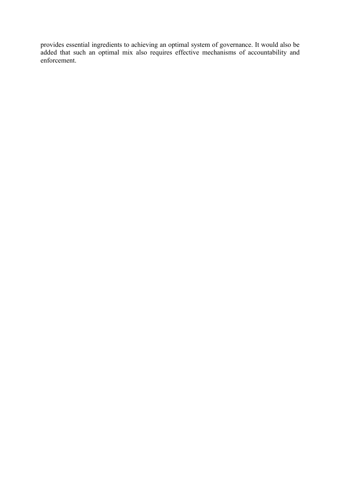provides essential ingredients to achieving an optimal system of governance. It would also be added that such an optimal mix also requires effective mechanisms of accountability and enforcement.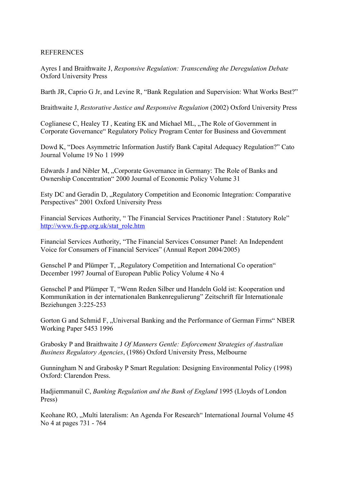#### REFERENCES

Ayres I and Braithwaite J, *Responsive Regulation: Transcending the Deregulation Debate*  Oxford University Press

Barth JR, Caprio G Jr, and Levine R, "Bank Regulation and Supervision: What Works Best?"

Braithwaite J, *Restorative Justice and Responsive Regulation* (2002) Oxford University Press

Coglianese C, Healey TJ, Keating EK and Michael ML, "The Role of Government in Corporate Governance" Regulatory Policy Program Center for Business and Government

Dowd K, "Does Asymmetric Information Justify Bank Capital Adequacy Regulation?" Cato Journal Volume 19 No 1 1999

Edwards J and Nibler M, "Corporate Governance in Germany: The Role of Banks and Ownership Concentration" 2000 Journal of Economic Policy Volume 31

Esty DC and Geradin D, "Regulatory Competition and Economic Integration: Comparative Perspectives" 2001 Oxford University Press

Financial Services Authority, " The Financial Services Practitioner Panel : Statutory Role" http://www.fs-pp.org.uk/stat\_role.htm

Financial Services Authority, "The Financial Services Consumer Panel: An Independent Voice for Consumers of Financial Services" (Annual Report 2004/2005)

Genschel P and Plümper T, "Regulatory Competition and International Co operation" December 1997 Journal of European Public Policy Volume 4 No 4

Genschel P and Plümper T, "Wenn Reden Silber und Handeln Gold ist: Kooperation und Kommunikation in der internationalen Bankenregulierung" Zeitschrift für Internationale Beziehungen 3:225-253

Gorton G and Schmid F, "Universal Banking and the Performance of German Firms" NBER Working Paper 5453 1996

Grabosky P and Braithwaite J *Of Manners Gentle: Enforcement Strategies of Australian Business Regulatory Agencies*, (1986) Oxford University Press, Melbourne

Gunningham N and Grabosky P Smart Regulation: Designing Environmental Policy (1998) Oxford: Clarendon Press.

Hadjiemmanuil C, *Banking Regulation and the Bank of England* 1995 (Lloyds of London Press)

Keohane RO, "Multi lateralism: An Agenda For Research" International Journal Volume 45 No 4 at pages 731 - 764